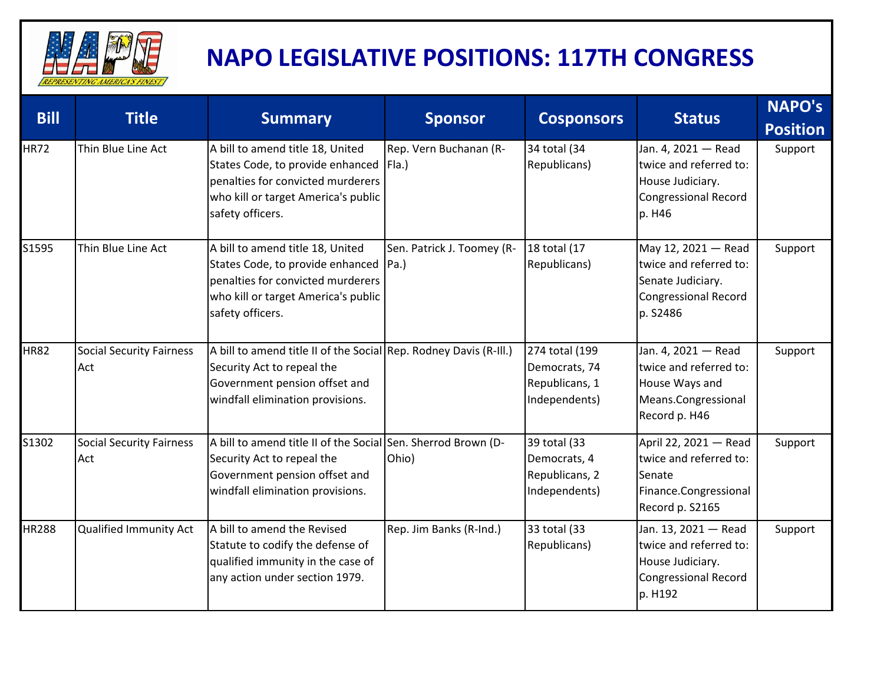

## **NAPO LEGISLATIVE POSITIONS: 117TH CONGRESS**

| <b>Bill</b>  | <b>Title</b>                           | <b>Summary</b>                                                                                                                                                              | <b>Sponsor</b>             | <b>Cosponsors</b>                                                  | <b>Status</b>                                                                                                 | NAPO's<br><b>Position</b> |
|--------------|----------------------------------------|-----------------------------------------------------------------------------------------------------------------------------------------------------------------------------|----------------------------|--------------------------------------------------------------------|---------------------------------------------------------------------------------------------------------------|---------------------------|
| <b>HR72</b>  | Thin Blue Line Act                     | A bill to amend title 18, United<br>States Code, to provide enhanced Fla.)<br>penalties for convicted murderers<br>who kill or target America's public<br>safety officers.  | Rep. Vern Buchanan (R-     | 34 total (34<br>Republicans)                                       | Jan. 4, 2021 - Read<br>twice and referred to:<br>House Judiciary.<br><b>Congressional Record</b><br>p. H46    | Support                   |
| S1595        | Thin Blue Line Act                     | A bill to amend title 18, United<br>States Code, to provide enhanced   Pa.)<br>penalties for convicted murderers<br>who kill or target America's public<br>safety officers. | Sen. Patrick J. Toomey (R- | 18 total (17<br>Republicans)                                       | May 12, 2021 - Read<br>twice and referred to:<br>Senate Judiciary.<br><b>Congressional Record</b><br>p. S2486 | Support                   |
| <b>HR82</b>  | <b>Social Security Fairness</b><br>Act | A bill to amend title II of the Social Rep. Rodney Davis (R-III.)<br>Security Act to repeal the<br>Government pension offset and<br>windfall elimination provisions.        |                            | 274 total (199<br>Democrats, 74<br>Republicans, 1<br>Independents) | Jan. 4, 2021 - Read<br>twice and referred to:<br>House Ways and<br>Means.Congressional<br>Record p. H46       | Support                   |
| S1302        | <b>Social Security Fairness</b><br>Act | A bill to amend title II of the Social Sen. Sherrod Brown (D-<br>Security Act to repeal the<br>Government pension offset and<br>windfall elimination provisions.            | Ohio)                      | 39 total (33<br>Democrats, 4<br>Republicans, 2<br>Independents)    | April 22, 2021 - Read<br>twice and referred to:<br>Senate<br>Finance.Congressional<br>Record p. S2165         | Support                   |
| <b>HR288</b> | <b>Qualified Immunity Act</b>          | A bill to amend the Revised<br>Statute to codify the defense of<br>qualified immunity in the case of<br>any action under section 1979.                                      | Rep. Jim Banks (R-Ind.)    | 33 total (33<br>Republicans)                                       | Jan. 13, 2021 - Read<br>twice and referred to:<br>House Judiciary.<br><b>Congressional Record</b><br>p. H192  | Support                   |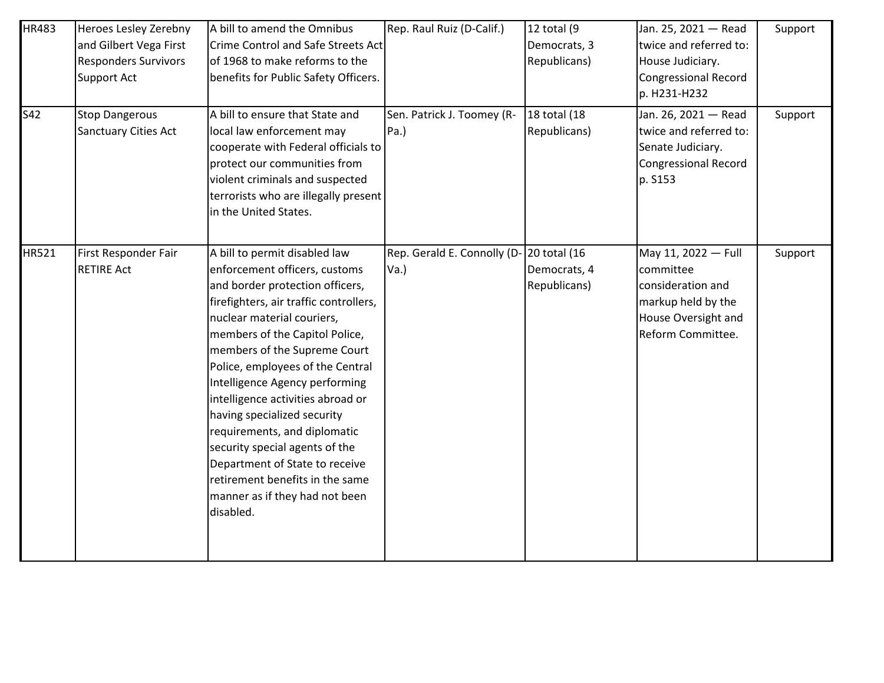| HR483 | Heroes Lesley Zerebny<br>and Gilbert Vega First<br><b>Responders Survivors</b><br>Support Act | A bill to amend the Omnibus<br>Crime Control and Safe Streets Act<br>of 1968 to make reforms to the<br>benefits for Public Safety Officers.                                                                                                                                                                                                                                                                                                                                                                                                                                 | Rep. Raul Ruiz (D-Calif.)          | 12 total (9<br>Democrats, 3<br>Republicans)  | Jan. 25, 2021 - Read<br>twice and referred to:<br>House Judiciary.<br>Congressional Record<br>p. H231-H232              | Support |
|-------|-----------------------------------------------------------------------------------------------|-----------------------------------------------------------------------------------------------------------------------------------------------------------------------------------------------------------------------------------------------------------------------------------------------------------------------------------------------------------------------------------------------------------------------------------------------------------------------------------------------------------------------------------------------------------------------------|------------------------------------|----------------------------------------------|-------------------------------------------------------------------------------------------------------------------------|---------|
| S42   | <b>Stop Dangerous</b><br>Sanctuary Cities Act                                                 | A bill to ensure that State and<br>local law enforcement may<br>cooperate with Federal officials to<br>protect our communities from<br>violent criminals and suspected<br>terrorists who are illegally present<br>in the United States.                                                                                                                                                                                                                                                                                                                                     | Sen. Patrick J. Toomey (R-<br>Pa.  | 18 total (18<br>Republicans)                 | Jan. 26, 2021 - Read<br>twice and referred to:<br>Senate Judiciary.<br>Congressional Record<br>p. S153                  | Support |
| HR521 | First Responder Fair<br><b>RETIRE Act</b>                                                     | A bill to permit disabled law<br>enforcement officers, customs<br>and border protection officers,<br>firefighters, air traffic controllers,<br>nuclear material couriers,<br>members of the Capitol Police,<br>members of the Supreme Court<br>Police, employees of the Central<br>Intelligence Agency performing<br>intelligence activities abroad or<br>having specialized security<br>requirements, and diplomatic<br>security special agents of the<br>Department of State to receive<br>retirement benefits in the same<br>manner as if they had not been<br>disabled. | Rep. Gerald E. Connolly (D-<br>Va. | 20 total (16<br>Democrats, 4<br>Republicans) | May 11, 2022 - Full<br>committee<br>consideration and<br>markup held by the<br>House Oversight and<br>Reform Committee. | Support |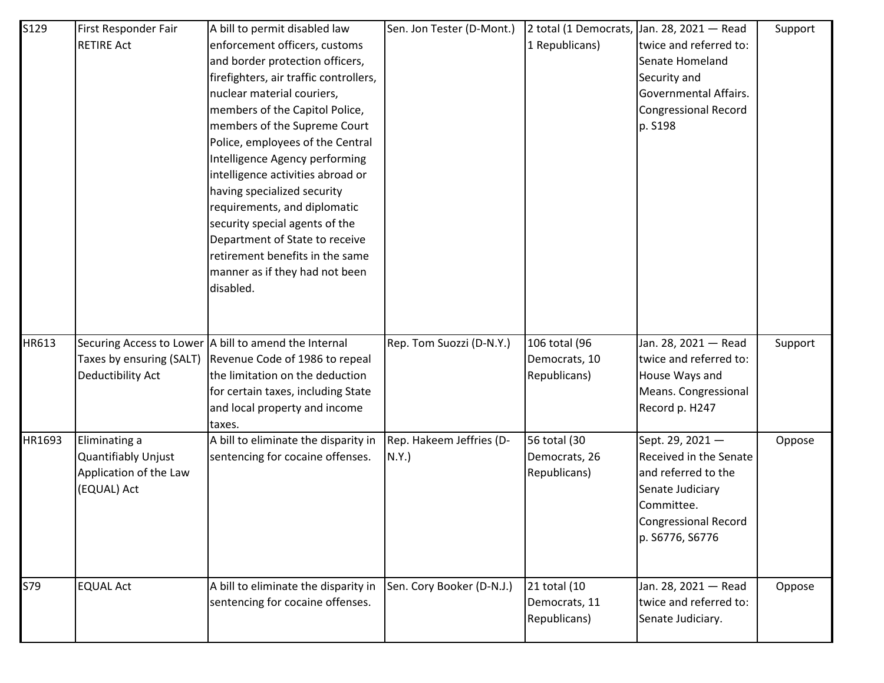| S129   | First Responder Fair     | A bill to permit disabled law                           | Sen. Jon Tester (D-Mont.) |                | 2 total (1 Democrats, Jan. 28, 2021 - Read | Support |
|--------|--------------------------|---------------------------------------------------------|---------------------------|----------------|--------------------------------------------|---------|
|        | <b>RETIRE Act</b>        | enforcement officers, customs                           |                           | 1 Republicans) | twice and referred to:                     |         |
|        |                          | and border protection officers,                         |                           |                | Senate Homeland                            |         |
|        |                          | firefighters, air traffic controllers,                  |                           |                | Security and                               |         |
|        |                          | nuclear material couriers,                              |                           |                | Governmental Affairs.                      |         |
|        |                          | members of the Capitol Police,                          |                           |                | <b>Congressional Record</b>                |         |
|        |                          | members of the Supreme Court                            |                           |                | p. S198                                    |         |
|        |                          | Police, employees of the Central                        |                           |                |                                            |         |
|        |                          | Intelligence Agency performing                          |                           |                |                                            |         |
|        |                          | intelligence activities abroad or                       |                           |                |                                            |         |
|        |                          | having specialized security                             |                           |                |                                            |         |
|        |                          | requirements, and diplomatic                            |                           |                |                                            |         |
|        |                          | security special agents of the                          |                           |                |                                            |         |
|        |                          | Department of State to receive                          |                           |                |                                            |         |
|        |                          | retirement benefits in the same                         |                           |                |                                            |         |
|        |                          | manner as if they had not been                          |                           |                |                                            |         |
|        |                          | disabled.                                               |                           |                |                                            |         |
|        |                          |                                                         |                           |                |                                            |         |
|        |                          |                                                         |                           |                |                                            |         |
| HR613  |                          | Securing Access to Lower   A bill to amend the Internal | Rep. Tom Suozzi (D-N.Y.)  | 106 total (96  | Jan. 28, 2021 - Read                       | Support |
|        | Taxes by ensuring (SALT) | Revenue Code of 1986 to repeal                          |                           | Democrats, 10  | twice and referred to:                     |         |
|        | Deductibility Act        | the limitation on the deduction                         |                           | Republicans)   | House Ways and                             |         |
|        |                          | for certain taxes, including State                      |                           |                | Means. Congressional                       |         |
|        |                          | and local property and income                           |                           |                | Record p. H247                             |         |
|        |                          | taxes.                                                  |                           |                |                                            |         |
| HR1693 | Eliminating a            | A bill to eliminate the disparity in                    | Rep. Hakeem Jeffries (D-  | 56 total (30   | Sept. 29, 2021-                            | Oppose  |
|        | Quantifiably Unjust      | sentencing for cocaine offenses.                        | N.Y.                      | Democrats, 26  | Received in the Senate                     |         |
|        | Application of the Law   |                                                         |                           | Republicans)   | and referred to the                        |         |
|        | (EQUAL) Act              |                                                         |                           |                | Senate Judiciary                           |         |
|        |                          |                                                         |                           |                | Committee.                                 |         |
|        |                          |                                                         |                           |                | <b>Congressional Record</b>                |         |
|        |                          |                                                         |                           |                | p. S6776, S6776                            |         |
|        |                          |                                                         |                           |                |                                            |         |
|        |                          |                                                         |                           |                |                                            |         |
| S79    | <b>EQUAL Act</b>         | A bill to eliminate the disparity in                    | Sen. Cory Booker (D-N.J.) | 21 total (10   | Jan. 28, 2021 - Read                       | Oppose  |
|        |                          | sentencing for cocaine offenses.                        |                           | Democrats, 11  | twice and referred to:                     |         |
|        |                          |                                                         |                           | Republicans)   | Senate Judiciary.                          |         |
|        |                          |                                                         |                           |                |                                            |         |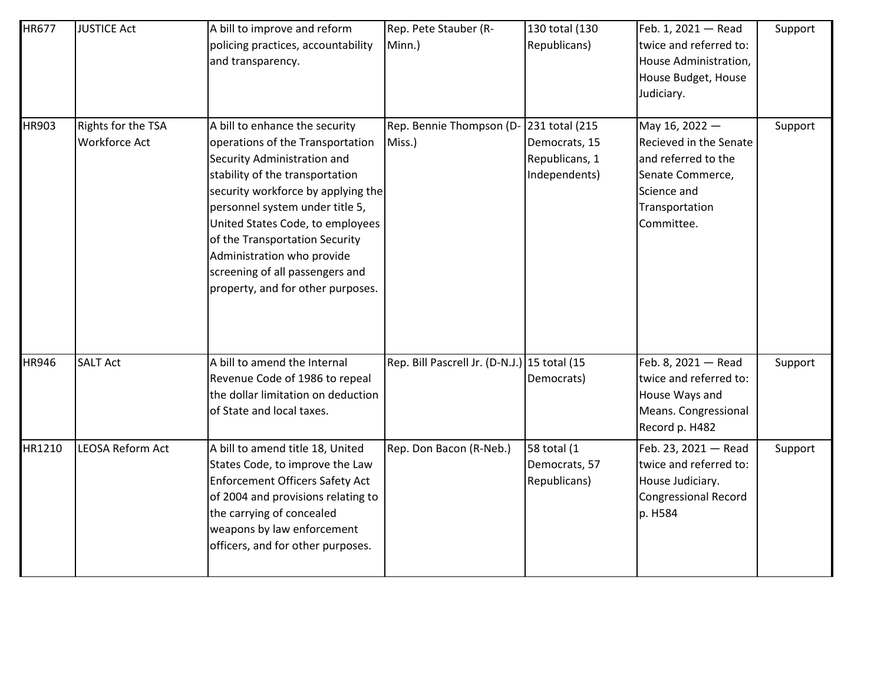| <b>HR677</b> | <b>JUSTICE Act</b>                         | A bill to improve and reform<br>policing practices, accountability<br>and transparency.                                                                                                                                                                                                                                                                                                   | Rep. Pete Stauber (R-<br>Minn.)              | 130 total (130<br>Republicans)                                     | Feb. 1, 2021 - Read<br>twice and referred to:<br>House Administration,<br>House Budget, House<br>Judiciary.                        | Support |
|--------------|--------------------------------------------|-------------------------------------------------------------------------------------------------------------------------------------------------------------------------------------------------------------------------------------------------------------------------------------------------------------------------------------------------------------------------------------------|----------------------------------------------|--------------------------------------------------------------------|------------------------------------------------------------------------------------------------------------------------------------|---------|
| HR903        | Rights for the TSA<br><b>Workforce Act</b> | A bill to enhance the security<br>operations of the Transportation<br>Security Administration and<br>stability of the transportation<br>security workforce by applying the<br>personnel system under title 5,<br>United States Code, to employees<br>of the Transportation Security<br>Administration who provide<br>screening of all passengers and<br>property, and for other purposes. | Rep. Bennie Thompson (D-<br>Miss.)           | 231 total (215<br>Democrats, 15<br>Republicans, 1<br>Independents) | May 16, 2022 -<br>Recieved in the Senate<br>and referred to the<br>Senate Commerce,<br>Science and<br>Transportation<br>Committee. | Support |
| <b>HR946</b> | <b>SALT Act</b>                            | A bill to amend the Internal<br>Revenue Code of 1986 to repeal<br>the dollar limitation on deduction<br>of State and local taxes.                                                                                                                                                                                                                                                         | Rep. Bill Pascrell Jr. (D-N.J.) 15 total (15 | Democrats)                                                         | Feb. 8, 2021 - Read<br>twice and referred to:<br>House Ways and<br>Means. Congressional<br>Record p. H482                          | Support |
| HR1210       | <b>LEOSA Reform Act</b>                    | A bill to amend title 18, United<br>States Code, to improve the Law<br><b>Enforcement Officers Safety Act</b><br>of 2004 and provisions relating to<br>the carrying of concealed<br>weapons by law enforcement<br>officers, and for other purposes.                                                                                                                                       | Rep. Don Bacon (R-Neb.)                      | 58 total (1<br>Democrats, 57<br>Republicans)                       | Feb. 23, 2021 - Read<br>twice and referred to:<br>House Judiciary.<br><b>Congressional Record</b><br>p. H584                       | Support |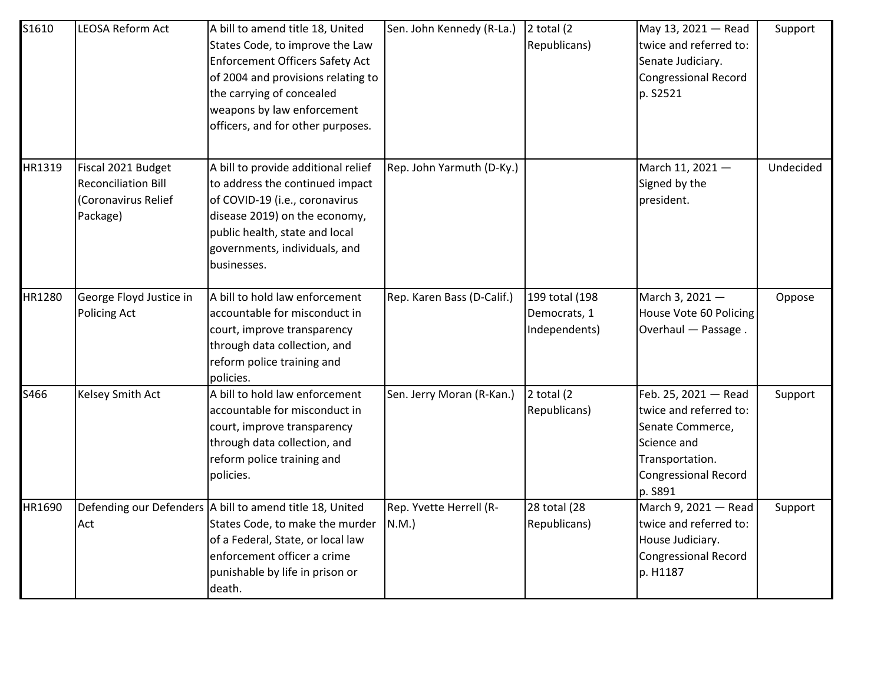| S1610  | <b>LEOSA Reform Act</b>                                                             | A bill to amend title 18, United<br>States Code, to improve the Law<br><b>Enforcement Officers Safety Act</b><br>of 2004 and provisions relating to<br>the carrying of concealed<br>weapons by law enforcement<br>officers, and for other purposes. | Sen. John Kennedy (R-La.)       | $2$ total (2)<br>Republicans)                   | May 13, 2021 - Read<br>twice and referred to:<br>Senate Judiciary.<br><b>Congressional Record</b><br>p. S2521                                  | Support   |
|--------|-------------------------------------------------------------------------------------|-----------------------------------------------------------------------------------------------------------------------------------------------------------------------------------------------------------------------------------------------------|---------------------------------|-------------------------------------------------|------------------------------------------------------------------------------------------------------------------------------------------------|-----------|
| HR1319 | Fiscal 2021 Budget<br><b>Reconciliation Bill</b><br>(Coronavirus Relief<br>Package) | A bill to provide additional relief<br>to address the continued impact<br>of COVID-19 (i.e., coronavirus<br>disease 2019) on the economy,<br>public health, state and local<br>governments, individuals, and<br>businesses.                         | Rep. John Yarmuth (D-Ky.)       |                                                 | March 11, 2021 -<br>Signed by the<br>president.                                                                                                | Undecided |
| HR1280 | George Floyd Justice in<br><b>Policing Act</b>                                      | A bill to hold law enforcement<br>accountable for misconduct in<br>court, improve transparency<br>through data collection, and<br>reform police training and<br>policies.                                                                           | Rep. Karen Bass (D-Calif.)      | 199 total (198<br>Democrats, 1<br>Independents) | March 3, 2021-<br>House Vote 60 Policing<br>Overhaul - Passage.                                                                                | Oppose    |
| S466   | Kelsey Smith Act                                                                    | A bill to hold law enforcement<br>accountable for misconduct in<br>court, improve transparency<br>through data collection, and<br>reform police training and<br>policies.                                                                           | Sen. Jerry Moran (R-Kan.)       | 2 total $(2)$<br>Republicans)                   | Feb. 25, 2021 - Read<br>twice and referred to:<br>Senate Commerce,<br>Science and<br>Transportation.<br><b>Congressional Record</b><br>p. S891 | Support   |
| HR1690 | Act                                                                                 | Defending our Defenders   A bill to amend title 18, United<br>States Code, to make the murder<br>of a Federal, State, or local law<br>enforcement officer a crime<br>punishable by life in prison or<br>death.                                      | Rep. Yvette Herrell (R-<br>N.M. | 28 total (28<br>Republicans)                    | March 9, 2021 - Read<br>twice and referred to:<br>House Judiciary.<br><b>Congressional Record</b><br>p. H1187                                  | Support   |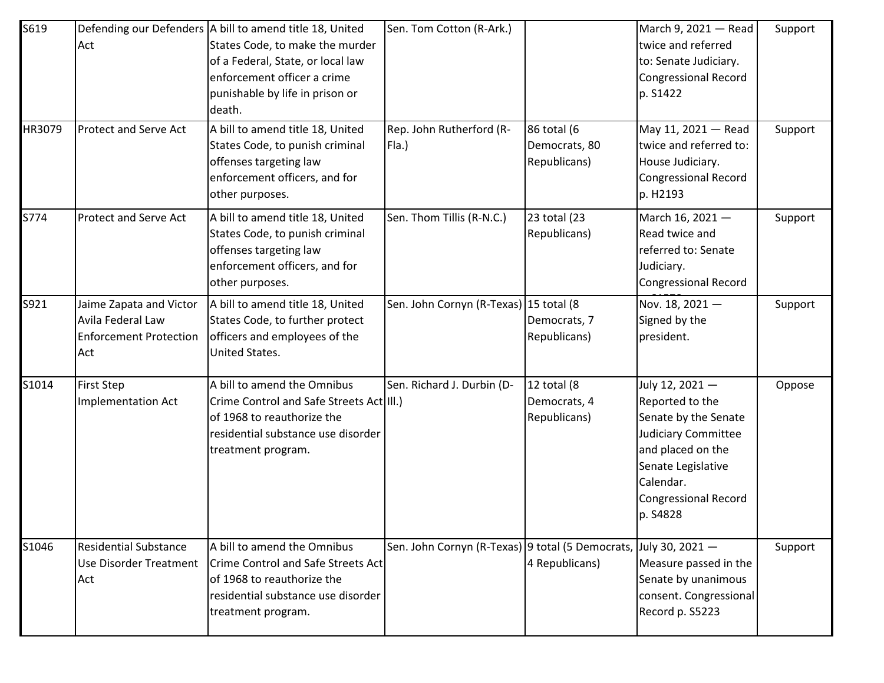| S619   | Act                                                                                  | Defending our Defenders   A bill to amend title 18, United<br>States Code, to make the murder<br>of a Federal, State, or local law<br>enforcement officer a crime<br>punishable by life in prison or<br>death. | Sen. Tom Cotton (R-Ark.)                                         |                                              | March 9, 2021 - Read<br>twice and referred<br>to: Senate Judiciary.<br><b>Congressional Record</b><br>p. S1422                                                                              | Support |
|--------|--------------------------------------------------------------------------------------|----------------------------------------------------------------------------------------------------------------------------------------------------------------------------------------------------------------|------------------------------------------------------------------|----------------------------------------------|---------------------------------------------------------------------------------------------------------------------------------------------------------------------------------------------|---------|
| HR3079 | <b>Protect and Serve Act</b>                                                         | A bill to amend title 18, United<br>States Code, to punish criminal<br>offenses targeting law<br>enforcement officers, and for<br>other purposes.                                                              | Rep. John Rutherford (R-<br>Fla.)                                | 86 total (6<br>Democrats, 80<br>Republicans) | May 11, 2021 - Read<br>twice and referred to:<br>House Judiciary.<br><b>Congressional Record</b><br>p. H2193                                                                                | Support |
| S774   | <b>Protect and Serve Act</b>                                                         | A bill to amend title 18, United<br>States Code, to punish criminal<br>offenses targeting law<br>enforcement officers, and for<br>other purposes.                                                              | Sen. Thom Tillis (R-N.C.)                                        | 23 total (23<br>Republicans)                 | March 16, 2021 -<br>Read twice and<br>referred to: Senate<br>Judiciary.<br><b>Congressional Record</b>                                                                                      | Support |
| S921   | Jaime Zapata and Victor<br>Avila Federal Law<br><b>Enforcement Protection</b><br>Act | A bill to amend title 18, United<br>States Code, to further protect<br>officers and employees of the<br>United States.                                                                                         | Sen. John Cornyn (R-Texas) 15 total (8                           | Democrats, 7<br>Republicans)                 | Nov. 18, 2021-<br>Signed by the<br>president.                                                                                                                                               | Support |
| S1014  | <b>First Step</b><br><b>Implementation Act</b>                                       | A bill to amend the Omnibus<br>Crime Control and Safe Streets Act III.)<br>of 1968 to reauthorize the<br>residential substance use disorder<br>treatment program.                                              | Sen. Richard J. Durbin (D-                                       | 12 total (8<br>Democrats, 4<br>Republicans)  | July 12, 2021 -<br>Reported to the<br>Senate by the Senate<br><b>Judiciary Committee</b><br>and placed on the<br>Senate Legislative<br>Calendar.<br><b>Congressional Record</b><br>p. S4828 | Oppose  |
| S1046  | <b>Residential Substance</b><br>Use Disorder Treatment<br>Act                        | A bill to amend the Omnibus<br>Crime Control and Safe Streets Act<br>of 1968 to reauthorize the<br>residential substance use disorder<br>treatment program.                                                    | Sen. John Cornyn (R-Texas) 9 total (5 Democrats, July 30, 2021 - | 4 Republicans)                               | Measure passed in the<br>Senate by unanimous<br>consent. Congressional<br>Record p. S5223                                                                                                   | Support |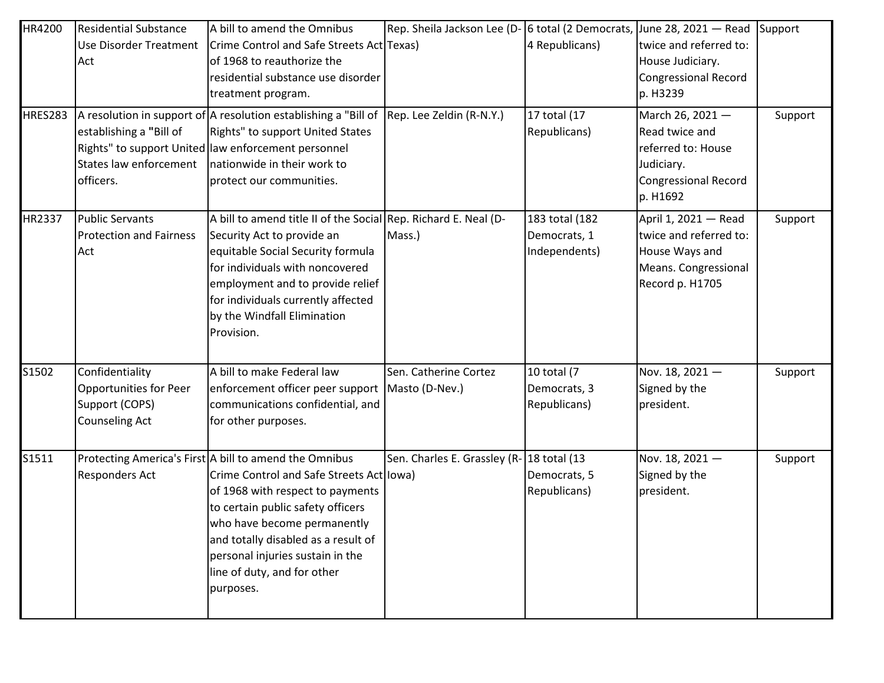| HR4200         | <b>Residential Substance</b><br><b>Use Disorder Treatment</b><br>Act                        | A bill to amend the Omnibus<br>Crime Control and Safe Streets Act Texas)<br>of 1968 to reauthorize the<br>residential substance use disorder<br>treatment program.                                                                                                                                                                | Rep. Sheila Jackson Lee (D- 6 total (2 Democrats, June 28, 2021 - Read Support | 4 Republicans)                                  | twice and referred to:<br>House Judiciary.<br><b>Congressional Record</b><br>p. H3239                             |         |
|----------------|---------------------------------------------------------------------------------------------|-----------------------------------------------------------------------------------------------------------------------------------------------------------------------------------------------------------------------------------------------------------------------------------------------------------------------------------|--------------------------------------------------------------------------------|-------------------------------------------------|-------------------------------------------------------------------------------------------------------------------|---------|
| <b>HRES283</b> | establishing a "Bill of<br>States law enforcement<br>officers.                              | A resolution in support of $\vert$ A resolution establishing a "Bill of $\vert$ Rep. Lee Zeldin (R-N.Y.)<br>Rights" to support United States<br>Rights" to support United law enforcement personnel<br>nationwide in their work to<br>protect our communities.                                                                    |                                                                                | 17 total (17<br>Republicans)                    | March 26, 2021 -<br>Read twice and<br>referred to: House<br>Judiciary.<br><b>Congressional Record</b><br>p. H1692 | Support |
| HR2337         | <b>Public Servants</b><br><b>Protection and Fairness</b><br>Act                             | A bill to amend title II of the Social Rep. Richard E. Neal (D-<br>Security Act to provide an<br>equitable Social Security formula<br>for individuals with noncovered<br>employment and to provide relief<br>for individuals currently affected<br>by the Windfall Elimination<br>Provision.                                      | Mass.)                                                                         | 183 total (182<br>Democrats, 1<br>Independents) | April 1, 2021 - Read<br>twice and referred to:<br>House Ways and<br>Means. Congressional<br>Record p. H1705       | Support |
| S1502          | Confidentiality<br><b>Opportunities for Peer</b><br>Support (COPS)<br><b>Counseling Act</b> | A bill to make Federal law<br>enforcement officer peer support Masto (D-Nev.)<br>communications confidential, and<br>for other purposes.                                                                                                                                                                                          | Sen. Catherine Cortez                                                          | 10 total (7<br>Democrats, 3<br>Republicans)     | Nov. 18, 2021-<br>Signed by the<br>president.                                                                     | Support |
| S1511          | Responders Act                                                                              | Protecting America's First A bill to amend the Omnibus<br>Crime Control and Safe Streets Act lowa)<br>of 1968 with respect to payments<br>to certain public safety officers<br>who have become permanently<br>and totally disabled as a result of<br>personal injuries sustain in the<br>line of duty, and for other<br>purposes. | Sen. Charles E. Grassley (R-18 total (13                                       | Democrats, 5<br>Republicans)                    | Nov. 18, 2021-<br>Signed by the<br>president.                                                                     | Support |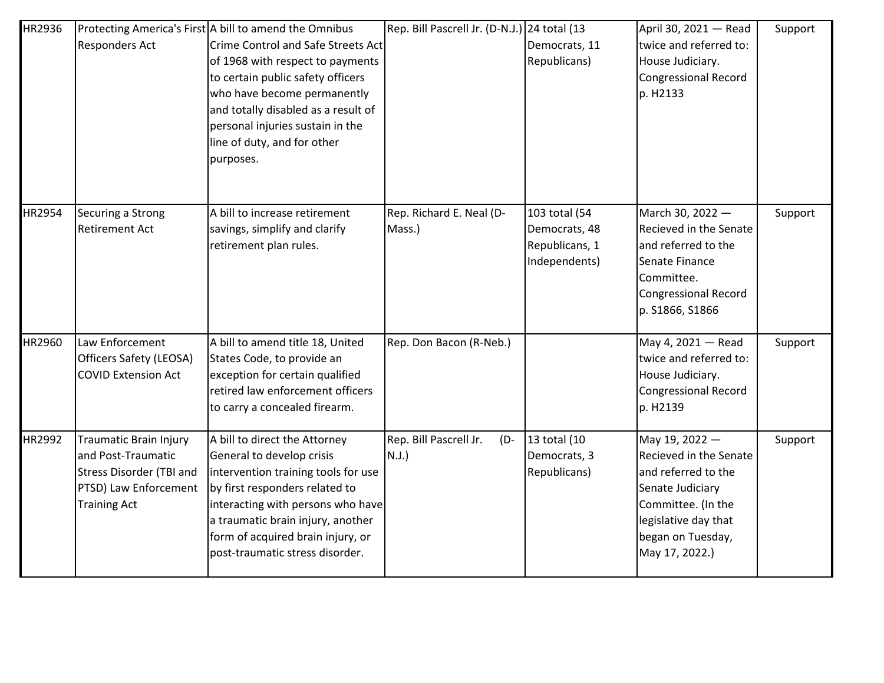| HR2936 | <b>Responders Act</b>                                                                                                                  | Protecting America's First A bill to amend the Omnibus<br>Crime Control and Safe Streets Act<br>of 1968 with respect to payments<br>to certain public safety officers<br>who have become permanently<br>and totally disabled as a result of<br>personal injuries sustain in the<br>line of duty, and for other<br>purposes. | Rep. Bill Pascrell Jr. (D-N.J.) 24 total (13 | Democrats, 11<br>Republicans)                                     | April 30, 2021 - Read<br>twice and referred to:<br>House Judiciary.<br><b>Congressional Record</b><br>p. H2133                                                           | Support |
|--------|----------------------------------------------------------------------------------------------------------------------------------------|-----------------------------------------------------------------------------------------------------------------------------------------------------------------------------------------------------------------------------------------------------------------------------------------------------------------------------|----------------------------------------------|-------------------------------------------------------------------|--------------------------------------------------------------------------------------------------------------------------------------------------------------------------|---------|
| HR2954 | Securing a Strong<br><b>Retirement Act</b>                                                                                             | A bill to increase retirement<br>savings, simplify and clarify<br>retirement plan rules.                                                                                                                                                                                                                                    | Rep. Richard E. Neal (D-<br>Mass.)           | 103 total (54<br>Democrats, 48<br>Republicans, 1<br>Independents) | March 30, 2022 -<br>Recieved in the Senate<br>and referred to the<br>Senate Finance<br>Committee.<br><b>Congressional Record</b><br>p. S1866, S1866                      | Support |
| HR2960 | Law Enforcement<br>Officers Safety (LEOSA)<br><b>COVID Extension Act</b>                                                               | A bill to amend title 18, United<br>States Code, to provide an<br>exception for certain qualified<br>retired law enforcement officers<br>to carry a concealed firearm.                                                                                                                                                      | Rep. Don Bacon (R-Neb.)                      |                                                                   | May 4, 2021 - Read<br>twice and referred to:<br>House Judiciary.<br><b>Congressional Record</b><br>p. H2139                                                              | Support |
| HR2992 | <b>Traumatic Brain Injury</b><br>and Post-Traumatic<br><b>Stress Disorder (TBI and</b><br>PTSD) Law Enforcement<br><b>Training Act</b> | A bill to direct the Attorney<br>General to develop crisis<br>intervention training tools for use<br>by first responders related to<br>interacting with persons who have<br>a traumatic brain injury, another<br>form of acquired brain injury, or<br>post-traumatic stress disorder.                                       | Rep. Bill Pascrell Jr.<br>$(D -$<br>N.J.     | 13 total (10<br>Democrats, 3<br>Republicans)                      | May 19, 2022 -<br>Recieved in the Senate<br>and referred to the<br>Senate Judiciary<br>Committee. (In the<br>legislative day that<br>began on Tuesday,<br>May 17, 2022.) | Support |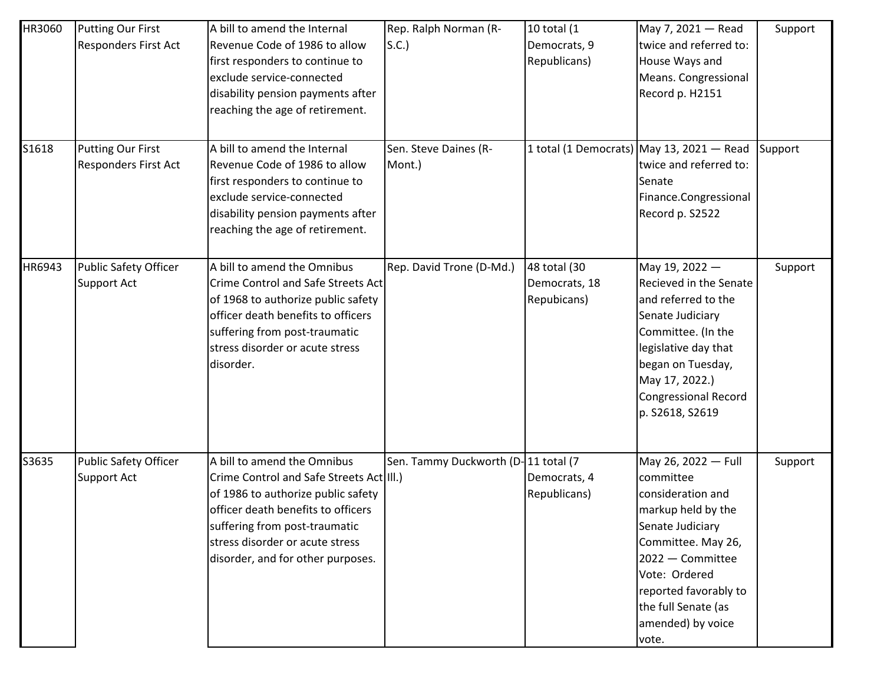| HR3060 | <b>Putting Our First</b><br><b>Responders First Act</b> | A bill to amend the Internal<br>Revenue Code of 1986 to allow<br>first responders to continue to<br>exclude service-connected<br>disability pension payments after<br>reaching the age of retirement.                                                        | Rep. Ralph Norman (R-<br>S.C.       | 10 total (1<br>Democrats, 9<br>Republicans)  | May 7, 2021 - Read<br>twice and referred to:<br>House Ways and<br>Means. Congressional<br>Record p. H2151                                                                                                                                | Support |
|--------|---------------------------------------------------------|--------------------------------------------------------------------------------------------------------------------------------------------------------------------------------------------------------------------------------------------------------------|-------------------------------------|----------------------------------------------|------------------------------------------------------------------------------------------------------------------------------------------------------------------------------------------------------------------------------------------|---------|
| S1618  | <b>Putting Our First</b><br><b>Responders First Act</b> | A bill to amend the Internal<br>Revenue Code of 1986 to allow<br>first responders to continue to<br>exclude service-connected<br>disability pension payments after<br>reaching the age of retirement.                                                        | Sen. Steve Daines (R-<br>Mont.)     |                                              | 1 total (1 Democrats) May 13, 2021 - Read<br>twice and referred to:<br>Senate<br>Finance.Congressional<br>Record p. S2522                                                                                                                | Support |
| HR6943 | <b>Public Safety Officer</b><br>Support Act             | A bill to amend the Omnibus<br>Crime Control and Safe Streets Act<br>of 1968 to authorize public safety<br>officer death benefits to officers<br>suffering from post-traumatic<br>stress disorder or acute stress<br>disorder.                               | Rep. David Trone (D-Md.)            | 48 total (30<br>Democrats, 18<br>Repubicans) | May 19, 2022 -<br>Recieved in the Senate<br>and referred to the<br>Senate Judiciary<br>Committee. (In the<br>legislative day that<br>began on Tuesday,<br>May 17, 2022.)<br><b>Congressional Record</b><br>p. S2618, S2619               | Support |
| S3635  | <b>Public Safety Officer</b><br>Support Act             | A bill to amend the Omnibus<br>Crime Control and Safe Streets Act III.)<br>of 1986 to authorize public safety<br>officer death benefits to officers<br>suffering from post-traumatic<br>stress disorder or acute stress<br>disorder, and for other purposes. | Sen. Tammy Duckworth (D-11 total (7 | Democrats, 4<br>Republicans)                 | May 26, 2022 - Full<br>committee<br>consideration and<br>markup held by the<br>Senate Judiciary<br>Committee. May 26,<br>2022 - Committee<br>Vote: Ordered<br>reported favorably to<br>the full Senate (as<br>amended) by voice<br>vote. | Support |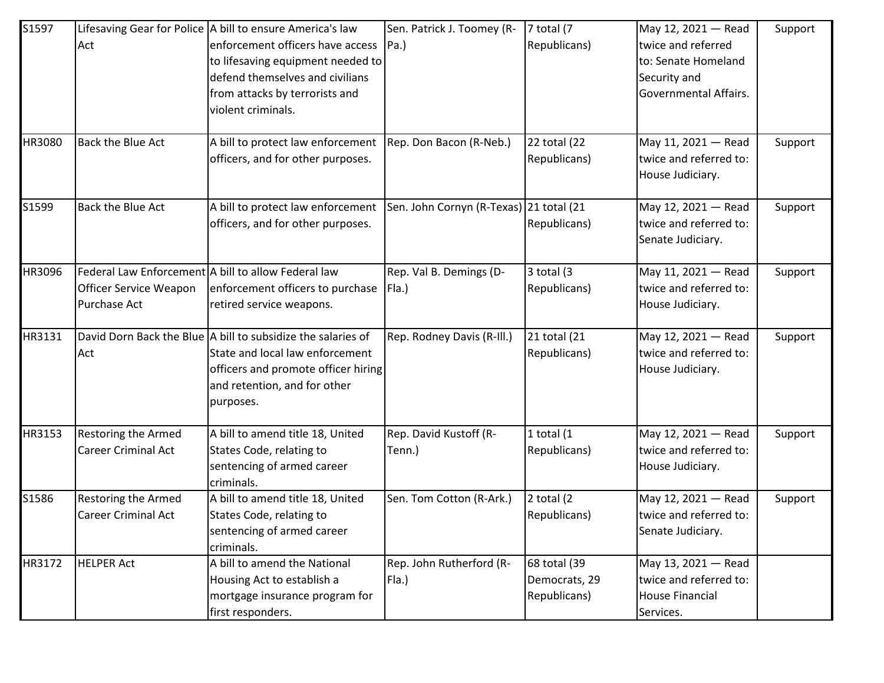| S1597  | Act                                               | Lifesaving Gear for Police   A bill to ensure America's law<br>enforcement officers have access<br>to lifesaving equipment needed to<br>defend themselves and civilians<br>from attacks by terrorists and<br>violent criminals. | Sen. Patrick J. Toomey (R-<br> Pa.      | 7 total (7<br>Republicans)                    | May 12, 2021 - Read<br>twice and referred<br>to: Senate Homeland<br>Security and<br>Governmental Affairs. | Support |
|--------|---------------------------------------------------|---------------------------------------------------------------------------------------------------------------------------------------------------------------------------------------------------------------------------------|-----------------------------------------|-----------------------------------------------|-----------------------------------------------------------------------------------------------------------|---------|
| HR3080 | Back the Blue Act                                 | A bill to protect law enforcement<br>officers, and for other purposes.                                                                                                                                                          | Rep. Don Bacon (R-Neb.)                 | 22 total (22<br>Republicans)                  | May 11, 2021 - Read<br>twice and referred to:<br>House Judiciary.                                         | Support |
| S1599  | Back the Blue Act                                 | A bill to protect law enforcement<br>officers, and for other purposes.                                                                                                                                                          | Sen. John Cornyn (R-Texas) 21 total (21 | Republicans)                                  | May 12, 2021 - Read<br>twice and referred to:<br>Senate Judiciary.                                        | Support |
| HR3096 | Officer Service Weapon<br>Purchase Act            | Federal Law Enforcement A bill to allow Federal law<br>enforcement officers to purchase<br>retired service weapons.                                                                                                             | Rep. Val B. Demings (D-<br> F a.        | 3 total (3<br>Republicans)                    | May 11, 2021 - Read<br>twice and referred to:<br>House Judiciary.                                         | Support |
| HR3131 | Act                                               | David Dorn Back the Blue A bill to subsidize the salaries of<br>State and local law enforcement<br>officers and promote officer hiring<br>and retention, and for other<br>purposes.                                             | Rep. Rodney Davis (R-III.)              | 21 total (21<br>Republicans)                  | May 12, 2021 - Read<br>twice and referred to:<br>House Judiciary.                                         | Support |
| HR3153 | Restoring the Armed<br><b>Career Criminal Act</b> | A bill to amend title 18, United<br>States Code, relating to<br>sentencing of armed career<br>criminals.                                                                                                                        | Rep. David Kustoff (R-<br>Tenn.)        | $1$ total $(1)$<br>Republicans)               | May 12, 2021 - Read<br>twice and referred to:<br>House Judiciary.                                         | Support |
| S1586  | Restoring the Armed<br><b>Career Criminal Act</b> | A bill to amend title 18, United<br>States Code, relating to<br>sentencing of armed career<br>criminals.                                                                                                                        | Sen. Tom Cotton (R-Ark.)                | 2 total $(2)$<br>Republicans)                 | May 12, 2021 - Read<br>twice and referred to:<br>Senate Judiciary.                                        | Support |
| HR3172 | <b>HELPER Act</b>                                 | A bill to amend the National<br>Housing Act to establish a<br>mortgage insurance program for<br>first responders.                                                                                                               | Rep. John Rutherford (R-<br>Fla.)       | 68 total (39<br>Democrats, 29<br>Republicans) | May 13, 2021 - Read<br>twice and referred to:<br><b>House Financial</b><br>Services.                      |         |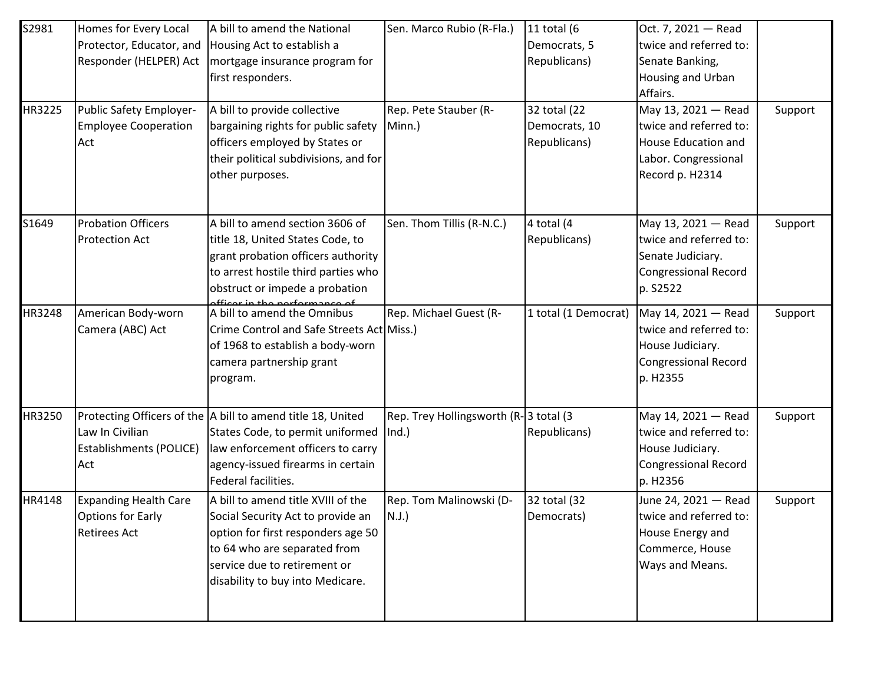| S2981  | Homes for Every Local<br>Protector, Educator, and<br>Responder (HELPER) Act     | A bill to amend the National<br>Housing Act to establish a<br>mortgage insurance program for<br>first responders.                                                                                                 | Sen. Marco Rubio (R-Fla.)                          | 11 total (6<br>Democrats, 5<br>Republicans)   | Oct. 7, 2021 - Read<br>twice and referred to:<br>Senate Banking,<br>Housing and Urban<br>Affairs.               |         |
|--------|---------------------------------------------------------------------------------|-------------------------------------------------------------------------------------------------------------------------------------------------------------------------------------------------------------------|----------------------------------------------------|-----------------------------------------------|-----------------------------------------------------------------------------------------------------------------|---------|
| HR3225 | Public Safety Employer-<br><b>Employee Cooperation</b><br>Act                   | A bill to provide collective<br>bargaining rights for public safety<br>officers employed by States or<br>their political subdivisions, and for<br>other purposes.                                                 | Rep. Pete Stauber (R-<br>Minn.)                    | 32 total (22<br>Democrats, 10<br>Republicans) | May 13, 2021 - Read<br>twice and referred to:<br>House Education and<br>Labor. Congressional<br>Record p. H2314 | Support |
| S1649  | <b>Probation Officers</b><br><b>Protection Act</b>                              | A bill to amend section 3606 of<br>title 18, United States Code, to<br>grant probation officers authority<br>to arrest hostile third parties who<br>obstruct or impede a probation<br>in the performance of       | Sen. Thom Tillis (R-N.C.)                          | 4 total (4<br>Republicans)                    | May 13, 2021 - Read<br>twice and referred to:<br>Senate Judiciary.<br><b>Congressional Record</b><br>p. S2522   | Support |
| HR3248 | American Body-worn<br>Camera (ABC) Act                                          | A bill to amend the Omnibus<br>Crime Control and Safe Streets Act Miss.)<br>of 1968 to establish a body-worn<br>camera partnership grant<br>program.                                                              | Rep. Michael Guest (R-                             | 1 total (1 Democrat)                          | May 14, 2021 - Read<br>twice and referred to:<br>House Judiciary.<br><b>Congressional Record</b><br>p. H2355    | Support |
| HR3250 | Law In Civilian<br><b>Establishments (POLICE)</b><br>Act                        | Protecting Officers of the A bill to amend title 18, United<br>States Code, to permit uniformed<br>law enforcement officers to carry<br>agency-issued firearms in certain<br>Federal facilities.                  | Rep. Trey Hollingsworth (R-3 total (3)<br>$Ind.$ ) | Republicans)                                  | May 14, 2021 - Read<br>twice and referred to:<br>House Judiciary.<br><b>Congressional Record</b><br>p. H2356    | Support |
| HR4148 | <b>Expanding Health Care</b><br><b>Options for Early</b><br><b>Retirees Act</b> | A bill to amend title XVIII of the<br>Social Security Act to provide an<br>option for first responders age 50<br>to 64 who are separated from<br>service due to retirement or<br>disability to buy into Medicare. | Rep. Tom Malinowski (D-<br>$N.J.$ )                | 32 total (32<br>Democrats)                    | June 24, 2021 - Read<br>twice and referred to:<br>House Energy and<br>Commerce, House<br>Ways and Means.        | Support |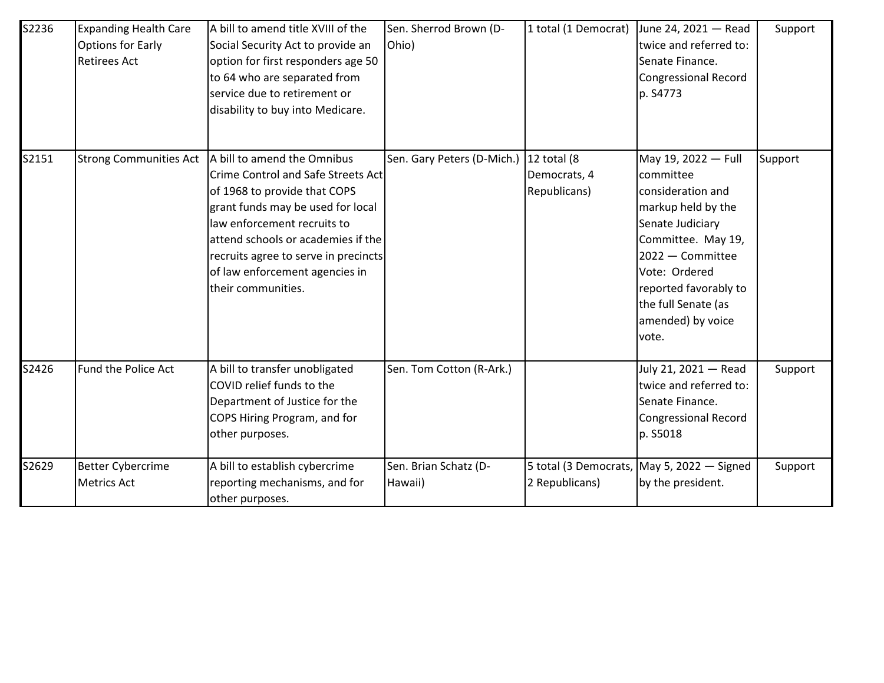| S2236 | <b>Expanding Health Care</b><br>Options for Early<br><b>Retirees Act</b> | A bill to amend title XVIII of the<br>Social Security Act to provide an<br>option for first responders age 50<br>to 64 who are separated from<br>service due to retirement or<br>disability to buy into Medicare.                                                                                           | Sen. Sherrod Brown (D-<br>Ohio)  | 1 total (1 Democrat)                        | June 24, 2021 - Read<br>twice and referred to:<br>Senate Finance.<br><b>Congressional Record</b><br>p. S4773                                                                                                                             | Support |
|-------|--------------------------------------------------------------------------|-------------------------------------------------------------------------------------------------------------------------------------------------------------------------------------------------------------------------------------------------------------------------------------------------------------|----------------------------------|---------------------------------------------|------------------------------------------------------------------------------------------------------------------------------------------------------------------------------------------------------------------------------------------|---------|
| S2151 | <b>Strong Communities Act</b>                                            | A bill to amend the Omnibus<br>Crime Control and Safe Streets Act<br>of 1968 to provide that COPS<br>grant funds may be used for local<br>law enforcement recruits to<br>attend schools or academies if the<br>recruits agree to serve in precincts<br>of law enforcement agencies in<br>their communities. | Sen. Gary Peters (D-Mich.)       | 12 total (8<br>Democrats, 4<br>Republicans) | May 19, 2022 - Full<br>committee<br>consideration and<br>markup held by the<br>Senate Judiciary<br>Committee. May 19,<br>2022 - Committee<br>Vote: Ordered<br>reported favorably to<br>the full Senate (as<br>amended) by voice<br>vote. | Support |
| S2426 | Fund the Police Act                                                      | A bill to transfer unobligated<br>COVID relief funds to the<br>Department of Justice for the<br>COPS Hiring Program, and for<br>other purposes.                                                                                                                                                             | Sen. Tom Cotton (R-Ark.)         |                                             | July 21, 2021 - Read<br>twice and referred to:<br>Senate Finance.<br><b>Congressional Record</b><br>p. S5018                                                                                                                             | Support |
| S2629 | <b>Better Cybercrime</b><br>Metrics Act                                  | A bill to establish cybercrime<br>reporting mechanisms, and for<br>other purposes.                                                                                                                                                                                                                          | Sen. Brian Schatz (D-<br>Hawaii) | 2 Republicans)                              | 5 total (3 Democrats, May 5, 2022 – Signed<br>by the president.                                                                                                                                                                          | Support |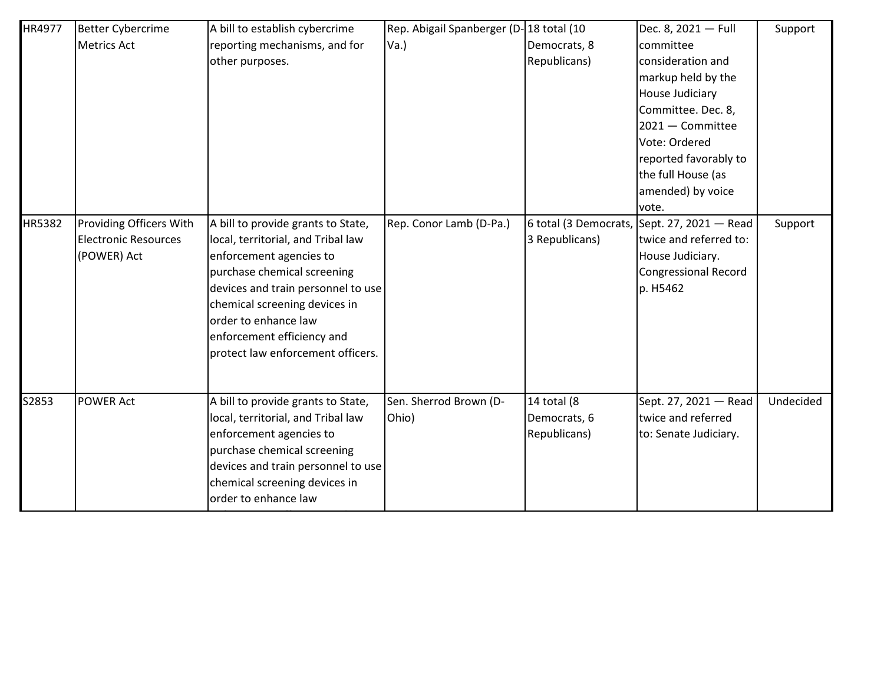| HR4977 | <b>Better Cybercrime</b><br>Metrics Act                               | A bill to establish cybercrime<br>reporting mechanisms, and for<br>other purposes.                                                                                                                                                                                                                   | Rep. Abigail Spanberger (D-<br>$Va.$ ) | 18 total (10<br>Democrats, 8<br>Republicans) | Dec. 8, 2021 - Full<br>committee<br>consideration and<br>markup held by the<br><b>House Judiciary</b><br>Committee. Dec. 8,<br>2021 - Committee<br>Vote: Ordered<br>reported favorably to<br>the full House (as<br>amended) by voice<br>vote. | Support   |
|--------|-----------------------------------------------------------------------|------------------------------------------------------------------------------------------------------------------------------------------------------------------------------------------------------------------------------------------------------------------------------------------------------|----------------------------------------|----------------------------------------------|-----------------------------------------------------------------------------------------------------------------------------------------------------------------------------------------------------------------------------------------------|-----------|
| HR5382 | Providing Officers With<br><b>Electronic Resources</b><br>(POWER) Act | A bill to provide grants to State,<br>local, territorial, and Tribal law<br>enforcement agencies to<br>purchase chemical screening<br>devices and train personnel to use<br>chemical screening devices in<br>order to enhance law<br>enforcement efficiency and<br>protect law enforcement officers. | Rep. Conor Lamb (D-Pa.)                | 6 total (3 Democrats,<br>3 Republicans)      | Sept. 27, 2021 $-$ Read<br>twice and referred to:<br>House Judiciary.<br><b>Congressional Record</b><br>p. H5462                                                                                                                              | Support   |
| S2853  | <b>POWER Act</b>                                                      | A bill to provide grants to State,<br>local, territorial, and Tribal law<br>enforcement agencies to<br>purchase chemical screening<br>devices and train personnel to use<br>chemical screening devices in<br>order to enhance law                                                                    | Sen. Sherrod Brown (D-<br>Ohio)        | 14 total (8<br>Democrats, 6<br>Republicans)  | Sept. 27, 2021 - Read<br>twice and referred<br>to: Senate Judiciary.                                                                                                                                                                          | Undecided |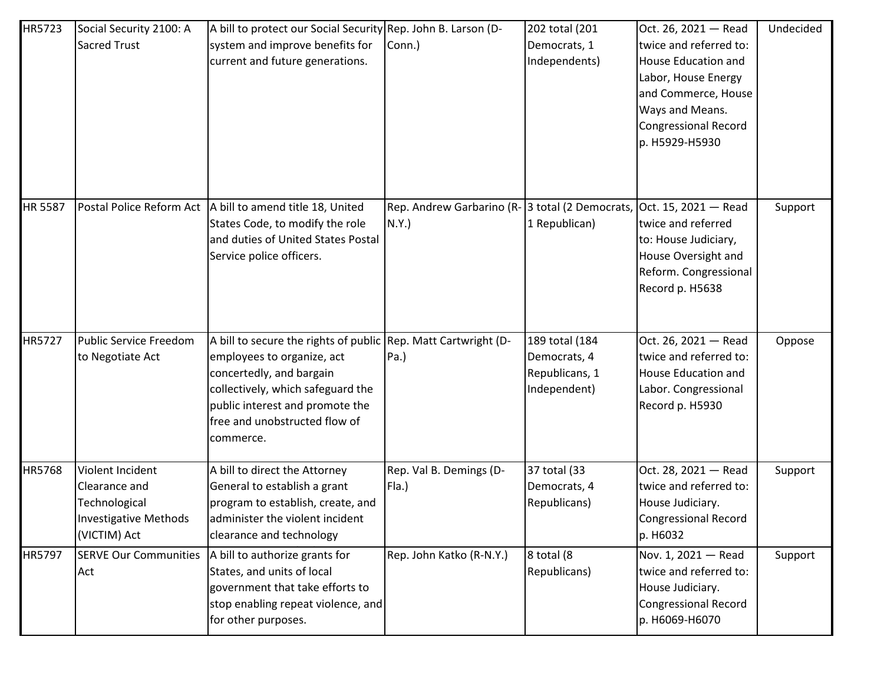| HR5723         | Social Security 2100: A<br><b>Sacred Trust</b>                                                     | A bill to protect our Social Security Rep. John B. Larson (D-<br>system and improve benefits for<br>current and future generations.                                                                                                            | Conn.)                                                                      | 202 total (201<br>Democrats, 1<br>Independents)                  | Oct. 26, 2021 - Read<br>twice and referred to:<br>House Education and<br>Labor, House Energy<br>and Commerce, House<br>Ways and Means.<br>Congressional Record<br>p. H5929-H5930 | Undecided |
|----------------|----------------------------------------------------------------------------------------------------|------------------------------------------------------------------------------------------------------------------------------------------------------------------------------------------------------------------------------------------------|-----------------------------------------------------------------------------|------------------------------------------------------------------|----------------------------------------------------------------------------------------------------------------------------------------------------------------------------------|-----------|
| <b>HR 5587</b> | Postal Police Reform Act                                                                           | A bill to amend title 18, United<br>States Code, to modify the role<br>and duties of United States Postal<br>Service police officers.                                                                                                          | Rep. Andrew Garbarino (R-3 total (2 Democrats, Oct. 15, 2021 - Read<br>N.Y. | 1 Republican)                                                    | twice and referred<br>to: House Judiciary,<br>House Oversight and<br>Reform. Congressional<br>Record p. H5638                                                                    | Support   |
| <b>HR5727</b>  | <b>Public Service Freedom</b><br>to Negotiate Act                                                  | A bill to secure the rights of public Rep. Matt Cartwright (D-<br>employees to organize, act<br>concertedly, and bargain<br>collectively, which safeguard the<br>public interest and promote the<br>free and unobstructed flow of<br>commerce. | Pa.                                                                         | 189 total (184<br>Democrats, 4<br>Republicans, 1<br>Independent) | Oct. 26, 2021 - Read<br>twice and referred to:<br>House Education and<br>Labor. Congressional<br>Record p. H5930                                                                 | Oppose    |
| HR5768         | Violent Incident<br>Clearance and<br>Technological<br><b>Investigative Methods</b><br>(VICTIM) Act | A bill to direct the Attorney<br>General to establish a grant<br>program to establish, create, and<br>administer the violent incident<br>clearance and technology                                                                              | Rep. Val B. Demings (D-<br>Fla.)                                            | 37 total (33<br>Democrats, 4<br>Republicans)                     | Oct. 28, 2021 - Read<br>twice and referred to:<br>House Judiciary.<br>Congressional Record<br>p. H6032                                                                           | Support   |
| HR5797         | <b>SERVE Our Communities</b><br>Act                                                                | A bill to authorize grants for<br>States, and units of local<br>government that take efforts to<br>stop enabling repeat violence, and<br>for other purposes.                                                                                   | Rep. John Katko (R-N.Y.)                                                    | 8 total (8<br>Republicans)                                       | Nov. 1, 2021 - Read<br>twice and referred to:<br>House Judiciary.<br><b>Congressional Record</b><br>p. H6069-H6070                                                               | Support   |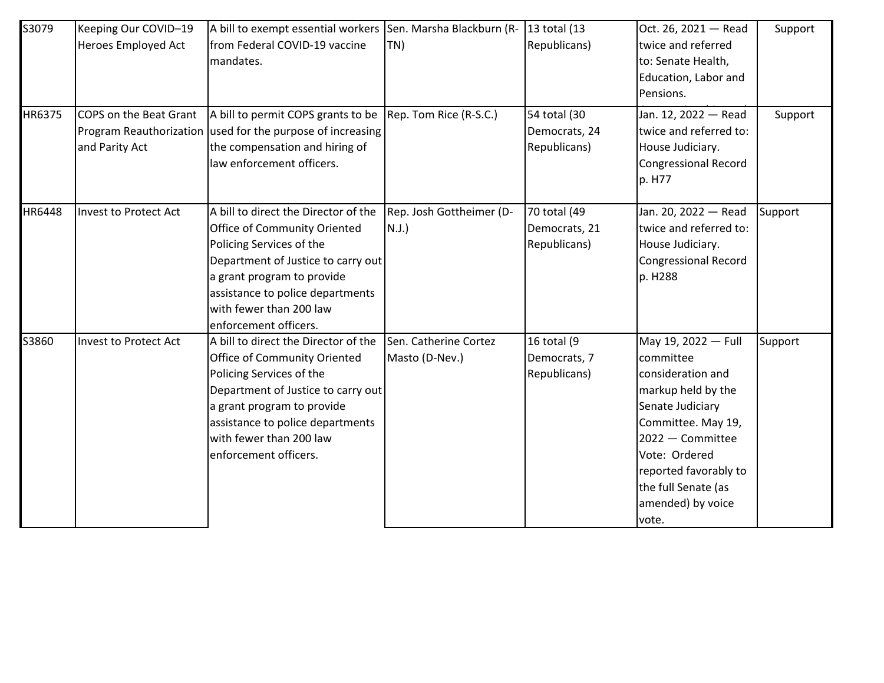| S3079         | Keeping Our COVID-19<br>Heroes Employed Act | A bill to exempt essential workers Sen. Marsha Blackburn (R-<br>from Federal COVID-19 vaccine<br>mandates.                                                                                                                                                   | TN)                                     | 13 total (13<br>Republicans)                  | Oct. 26, 2021 - Read<br>twice and referred<br>to: Senate Health,<br>Education, Labor and<br>Pensions.                                                                                                                                    | Support |
|---------------|---------------------------------------------|--------------------------------------------------------------------------------------------------------------------------------------------------------------------------------------------------------------------------------------------------------------|-----------------------------------------|-----------------------------------------------|------------------------------------------------------------------------------------------------------------------------------------------------------------------------------------------------------------------------------------------|---------|
| HR6375        | COPS on the Beat Grant<br>and Parity Act    | A bill to permit COPS grants to be<br>Program Reauthorization used for the purpose of increasing<br>the compensation and hiring of<br>law enforcement officers.                                                                                              | Rep. Tom Rice (R-S.C.)                  | 54 total (30<br>Democrats, 24<br>Republicans) | Jan. 12, 2022 - Read<br>twice and referred to:<br>House Judiciary.<br><b>Congressional Record</b><br>p. H77                                                                                                                              | Support |
| <b>HR6448</b> | <b>Invest to Protect Act</b>                | A bill to direct the Director of the<br>Office of Community Oriented<br>Policing Services of the<br>Department of Justice to carry out<br>a grant program to provide<br>assistance to police departments<br>with fewer than 200 law<br>enforcement officers. | Rep. Josh Gottheimer (D-<br>N.J.        | 70 total (49<br>Democrats, 21<br>Republicans) | Jan. 20, 2022 - Read<br>twice and referred to:<br>House Judiciary.<br><b>Congressional Record</b><br>p. H288                                                                                                                             | Support |
| S3860         | <b>Invest to Protect Act</b>                | A bill to direct the Director of the<br>Office of Community Oriented<br>Policing Services of the<br>Department of Justice to carry out<br>a grant program to provide<br>assistance to police departments<br>with fewer than 200 law<br>enforcement officers. | Sen. Catherine Cortez<br>Masto (D-Nev.) | 16 total (9<br>Democrats, 7<br>Republicans)   | May 19, 2022 - Full<br>committee<br>consideration and<br>markup held by the<br>Senate Judiciary<br>Committee. May 19,<br>2022 - Committee<br>Vote: Ordered<br>reported favorably to<br>the full Senate (as<br>amended) by voice<br>vote. | Support |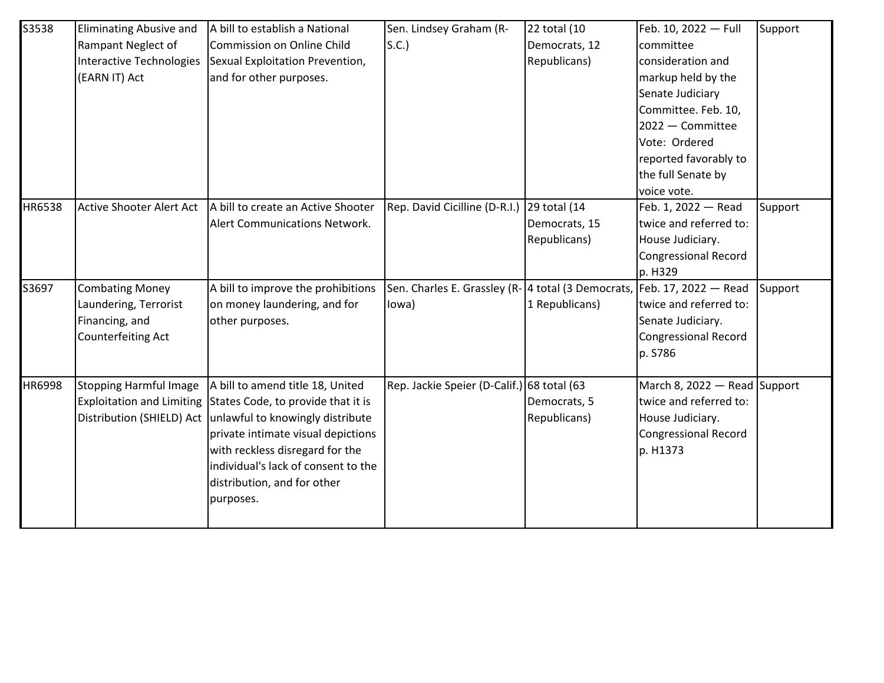| S3538  | <b>Eliminating Abusive and</b><br>Rampant Neglect of<br><b>Interactive Technologies</b>        | A bill to establish a National<br>Commission on Online Child<br>Sexual Exploitation Prevention,                                                                                                                                                                                                                            | Sen. Lindsey Graham (R-<br>S.C.                             | 22 total (10<br>Democrats, 12<br>Republicans) | Feb. 10, 2022 - Full<br>committee<br>consideration and                                                                                                           | Support |
|--------|------------------------------------------------------------------------------------------------|----------------------------------------------------------------------------------------------------------------------------------------------------------------------------------------------------------------------------------------------------------------------------------------------------------------------------|-------------------------------------------------------------|-----------------------------------------------|------------------------------------------------------------------------------------------------------------------------------------------------------------------|---------|
|        | (EARN IT) Act                                                                                  | and for other purposes.                                                                                                                                                                                                                                                                                                    |                                                             |                                               | markup held by the<br>Senate Judiciary<br>Committee. Feb. 10,<br>2022 - Committee<br>Vote: Ordered<br>reported favorably to<br>the full Senate by<br>voice vote. |         |
| HR6538 | <b>Active Shooter Alert Act</b>                                                                | A bill to create an Active Shooter<br><b>Alert Communications Network.</b>                                                                                                                                                                                                                                                 | Rep. David Cicilline (D-R.I.)                               | 29 total (14<br>Democrats, 15<br>Republicans) | Feb. 1, 2022 - Read<br>twice and referred to:<br>House Judiciary.<br><b>Congressional Record</b><br>p. H329                                                      | Support |
| S3697  | <b>Combating Money</b><br>Laundering, Terrorist<br>Financing, and<br><b>Counterfeiting Act</b> | A bill to improve the prohibitions<br>on money laundering, and for<br>other purposes.                                                                                                                                                                                                                                      | Sen. Charles E. Grassley (R- 4 total (3 Democrats,<br>lowa) | 1 Republicans)                                | Feb. 17, 2022 - Read<br>twice and referred to:<br>Senate Judiciary.<br><b>Congressional Record</b><br>p. S786                                                    | Support |
| HR6998 | <b>Stopping Harmful Image</b>                                                                  | A bill to amend title 18, United<br>Exploitation and Limiting States Code, to provide that it is<br>Distribution (SHIELD) Act unlawful to knowingly distribute<br>private intimate visual depictions<br>with reckless disregard for the<br>individual's lack of consent to the<br>distribution, and for other<br>purposes. | Rep. Jackie Speier (D-Calif.) 68 total (63                  | Democrats, 5<br>Republicans)                  | March 8, 2022 $-$ Read Support<br>twice and referred to:<br>House Judiciary.<br><b>Congressional Record</b><br>p. H1373                                          |         |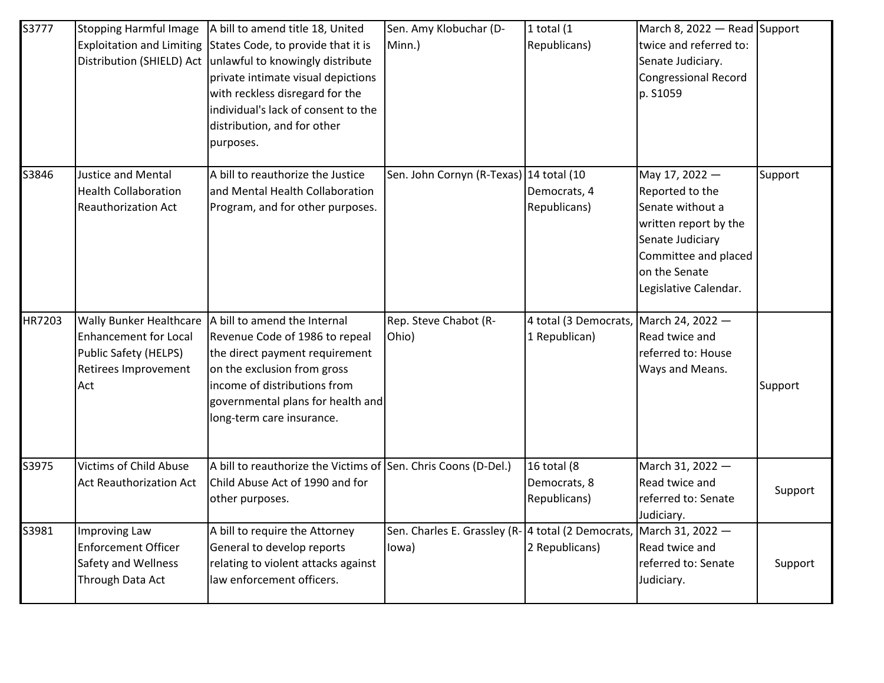| S3777  | <b>Stopping Harmful Image</b><br><b>Exploitation and Limiting</b><br>Distribution (SHIELD) Act                         | A bill to amend title 18, United<br>States Code, to provide that it is<br>unlawful to knowingly distribute<br>private intimate visual depictions<br>with reckless disregard for the<br>individual's lack of consent to the<br>distribution, and for other<br>purposes. | Sen. Amy Klobuchar (D-<br>Minn.)        | $1$ total (1<br>Republicans)                              | March 8, 2022 - Read Support<br>twice and referred to:<br>Senate Judiciary.<br><b>Congressional Record</b><br>p. S1059                                               |         |
|--------|------------------------------------------------------------------------------------------------------------------------|------------------------------------------------------------------------------------------------------------------------------------------------------------------------------------------------------------------------------------------------------------------------|-----------------------------------------|-----------------------------------------------------------|----------------------------------------------------------------------------------------------------------------------------------------------------------------------|---------|
| S3846  | <b>Justice and Mental</b><br><b>Health Collaboration</b><br><b>Reauthorization Act</b>                                 | A bill to reauthorize the Justice<br>and Mental Health Collaboration<br>Program, and for other purposes.                                                                                                                                                               | Sen. John Cornyn (R-Texas) 14 total (10 | Democrats, 4<br>Republicans)                              | May 17, 2022 -<br>Reported to the<br>Senate without a<br>written report by the<br>Senate Judiciary<br>Committee and placed<br>on the Senate<br>Legislative Calendar. | Support |
| HR7203 | <b>Wally Bunker Healthcare</b><br><b>Enhancement for Local</b><br>Public Safety (HELPS)<br>Retirees Improvement<br>Act | A bill to amend the Internal<br>Revenue Code of 1986 to repeal<br>the direct payment requirement<br>on the exclusion from gross<br>income of distributions from<br>governmental plans for health and<br>long-term care insurance.                                      | Rep. Steve Chabot (R-<br>Ohio)          | 4 total (3 Democrats, March 24, 2022 $-$<br>1 Republican) | Read twice and<br>referred to: House<br>Ways and Means.                                                                                                              | Support |
| S3975  | <b>Victims of Child Abuse</b><br><b>Act Reauthorization Act</b>                                                        | A bill to reauthorize the Victims of Sen. Chris Coons (D-Del.)<br>Child Abuse Act of 1990 and for<br>other purposes.                                                                                                                                                   |                                         | 16 total (8<br>Democrats, 8<br>Republicans)               | March 31, 2022 -<br>Read twice and<br>referred to: Senate<br>Judiciary.                                                                                              | Support |
| S3981  | Improving Law<br><b>Enforcement Officer</b><br>Safety and Wellness<br>Through Data Act                                 | A bill to require the Attorney<br>General to develop reports<br>relating to violent attacks against<br>law enforcement officers.                                                                                                                                       | Sen. Charles E. Grassley (R-<br>lowa)   | 4 total (2 Democrats,<br>2 Republicans)                   | March 31, 2022 -<br>Read twice and<br>referred to: Senate<br>Judiciary.                                                                                              | Support |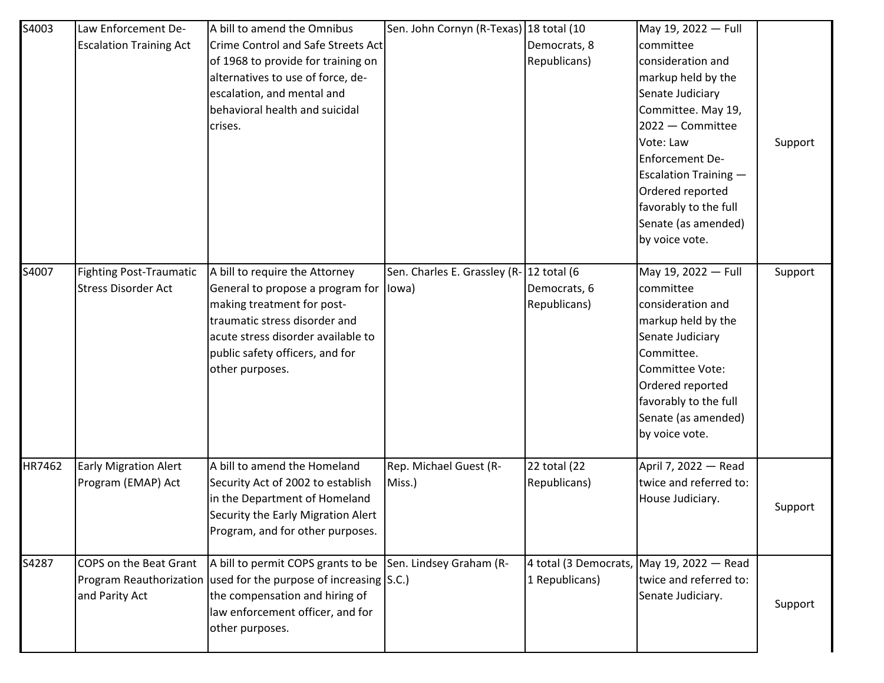| S4003  | Law Enforcement De-<br><b>Escalation Training Act</b>        | A bill to amend the Omnibus<br>Crime Control and Safe Streets Act<br>of 1968 to provide for training on<br>alternatives to use of force, de-<br>escalation, and mental and<br>behavioral health and suicidal<br>crises.             | Sen. John Cornyn (R-Texas) 18 total (10 | Democrats, 8<br>Republicans)                | May 19, 2022 - Full<br>committee<br>consideration and<br>markup held by the<br>Senate Judiciary<br>Committee. May 19,<br>2022 - Committee<br>Vote: Law<br>Enforcement De-<br><b>Escalation Training -</b><br>Ordered reported<br>favorably to the full<br>Senate (as amended)<br>by voice vote. | Support |
|--------|--------------------------------------------------------------|-------------------------------------------------------------------------------------------------------------------------------------------------------------------------------------------------------------------------------------|-----------------------------------------|---------------------------------------------|-------------------------------------------------------------------------------------------------------------------------------------------------------------------------------------------------------------------------------------------------------------------------------------------------|---------|
| S4007  | <b>Fighting Post-Traumatic</b><br><b>Stress Disorder Act</b> | A bill to require the Attorney<br>General to propose a program for lowa)<br>making treatment for post-<br>traumatic stress disorder and<br>acute stress disorder available to<br>public safety officers, and for<br>other purposes. | Sen. Charles E. Grassley (R-            | 12 total (6<br>Democrats, 6<br>Republicans) | May 19, 2022 - Full<br>committee<br>consideration and<br>markup held by the<br>Senate Judiciary<br>Committee.<br>Committee Vote:<br>Ordered reported<br>favorably to the full<br>Senate (as amended)<br>by voice vote.                                                                          | Support |
| HR7462 | <b>Early Migration Alert</b><br>Program (EMAP) Act           | A bill to amend the Homeland<br>Security Act of 2002 to establish<br>in the Department of Homeland<br>Security the Early Migration Alert<br>Program, and for other purposes.                                                        | Rep. Michael Guest (R-<br>Miss.)        | 22 total (22<br>Republicans)                | April 7, 2022 - Read<br>twice and referred to:<br>House Judiciary.                                                                                                                                                                                                                              | Support |
| S4287  | COPS on the Beat Grant<br>and Parity Act                     | A bill to permit COPS grants to be<br>Program Reauthorization used for the purpose of increasing S.C.)<br>the compensation and hiring of<br>law enforcement officer, and for<br>other purposes.                                     | Sen. Lindsey Graham (R-                 | 4 total (3 Democrats,<br>1 Republicans)     | May 19, 2022 - Read<br>twice and referred to:<br>Senate Judiciary.                                                                                                                                                                                                                              | Support |